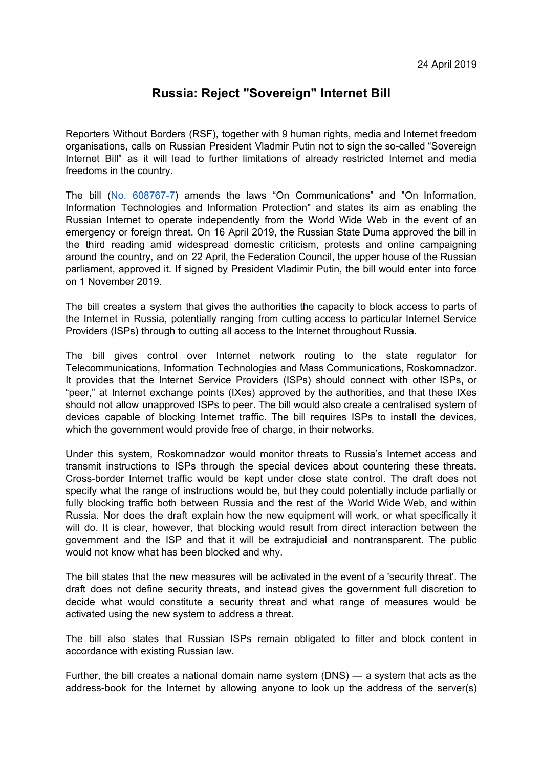## **Russia: Reject "Sovereign" Internet Bill**

Reporters Without Borders (RSF), together with 9 human rights, media and Internet freedom organisations, calls on Russian President Vladmir Putin not to sign the so-called "Sovereign Internet Bill" as it will lead to further limitations of already restricted Internet and media freedoms in the country.

The bill (No. [608767-7](http://sozd.duma.gov.ru/bill/608767-7)) amends the laws "On Communications" and "On Information, Information Technologies and Information Protection" and states its aim as enabling the Russian Internet to operate independently from the World Wide Web in the event of an emergency or foreign threat. On 16 April 2019, the Russian State Duma approved the bill in the third reading amid widespread domestic criticism, protests and online [campaigni](https://www.article19.org/resources/russia-new-campaign-to-uphold-digital-rights-in-russia-against-repressive-restrictions-online/)ng around the country, and on 22 April, the Federation Council, the upper house of the Russian parliament, approved it. If signed by President Vladimir Putin, the bill would enter into force on 1 November 2019.

The bill creates a system that gives the authorities the capacity to block access to parts of the Internet in Russia, potentially ranging from cutting access to particular Internet Service Providers (ISPs) through to cutting all access to the Internet throughout Russia.

The bill gives control over Internet network routing to the state regulator for Telecommunications, Information Technologies and Mass Communications, Roskomnadzor. It provides that the Internet Service Providers (ISPs) should connect with other ISPs, or "peer," at Internet exchange points (IXes) approved by the authorities, and that these IXes should not allow unapproved ISPs to peer. The bill would also create a centralised system of devices capable of blocking Internet traffic. The bill requires ISPs to install the devices, which the government would provide free of charge, in their networks.

Under this system, Roskomnadzor would monitor threats to Russia's Internet access and transmit instructions to ISPs through the special devices about countering these threats. Cross-border Internet traffic would be kept under close state control. The draft does not specify what the range of instructions would be, but they could potentially include partially or fully blocking traffic both between Russia and the rest of the World Wide Web, and within Russia. Nor does the draft explain how the new equipment will work, or what specifically it will do. It is clear, however, that blocking would result from direct interaction between the government and the ISP and that it will be extrajudicial and nontransparent. The public would not know what has been blocked and why.

The bill states that the new measures will be activated in the event of a 'security threat'. The draft does not define security threats, and instead gives the government full discretion to decide what would constitute a security threat and what range of measures would be activated using the new system to address a threat.

The bill also states that Russian ISPs remain obligated to filter and block content in accordance with existing Russian law.

Further, the bill creates a national domain name system (DNS) — a system that acts as the address-book for the Internet by allowing anyone to look up the address of the server(s)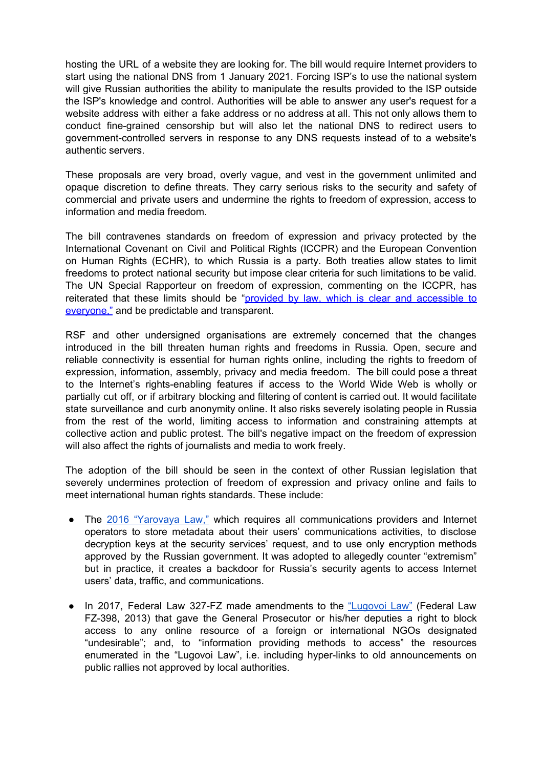hosting the URL of a website they are looking for. The bill would require Internet providers to start using the national DNS from 1 January 2021. Forcing ISP's to use the national system will give Russian authorities the ability to manipulate the results provided to the ISP outside the ISP's knowledge and control. Authorities will be able to answer any user's request for a website address with either a fake address or no address at all. This not only allows them to conduct fine-grained censorship but will also let the national DNS to redirect users to government-controlled servers in response to any DNS requests instead of to a website's authentic servers.

These proposals are very broad, overly vague, and vest in the government unlimited and opaque discretion to define threats. They carry serious risks to the security and safety of commercial and private users and undermine the rights to freedom of expression, access to information and media freedom.

The bill contravenes standards on freedom of expression and privacy protected by the International Covenant on Civil and Political Rights (ICCPR) and the European Convention on Human Rights (ECHR), to which Russia is a party. Both treaties allow states to limit freedoms to protect national security but impose clear criteria for such limitations to be valid. The UN Special Rapporteur on freedom of expression, commenting on the ICCPR, has reiterated that these limits should be "provided by law, which is clear and [accessible](https://www2.ohchr.org/english/bodies/hrcouncil/docs/17session/A.HRC.17.27_en.pdf) to [everyone,"](https://www2.ohchr.org/english/bodies/hrcouncil/docs/17session/A.HRC.17.27_en.pdf) and be predictable and transparent.

RSF and other undersigned organisations are extremely concerned that the changes introduced in the bill threaten human rights and freedoms in Russia. Open, secure and reliable connectivity is essential for human rights online, including the rights to freedom of expression, information, assembly, privacy and media freedom. The bill could pose a threat to the Internet's rights-enabling features if access to the World Wide Web is wholly or partially cut off, or if arbitrary blocking and filtering of content is carried out. It would facilitate state surveillance and curb anonymity online. It also risks severely isolating people in Russia from the rest of the world, limiting access to information and constraining attempts at collective action and public protest. The bill's negative impact on the freedom of expression will also affect the rights of journalists and media to work freely.

The adoption of the bill should be seen in the context of other Russian legislation that severely undermines protection of freedom of expression and privacy online and fails to meet international human rights standards. These include:

- The 2016 ["Yarovaya](https://rsf.org/en/news/draconian-new-law-tightens-control-over-communication-russia) Law," which requires all communications providers and Internet operators to store metadata about their users' communications activities, to disclose decryption keys at the security services' request, and to use only encryption methods approved by the Russian government. It was adopted to allegedly counter "extremism" but in practice, it creates a backdoor for Russia's security agents to access Internet users' data, traffic, and communications.
- In 2017, Federal Law 327-FZ made amendments to the ["Lugovoi](https://rsf.org/en/news/more-draconian-legislation-how-far-will-duma-go) Law" (Federal Law FZ-398, 2013) that gave the General Prosecutor or his/her deputies a right to block access to any online resource of a foreign or international NGOs designated "undesirable"; and, to "information providing methods to access" the resources enumerated in the "Lugovoi Law", i.e. including hyper-links to old announcements on public rallies not approved by local authorities.